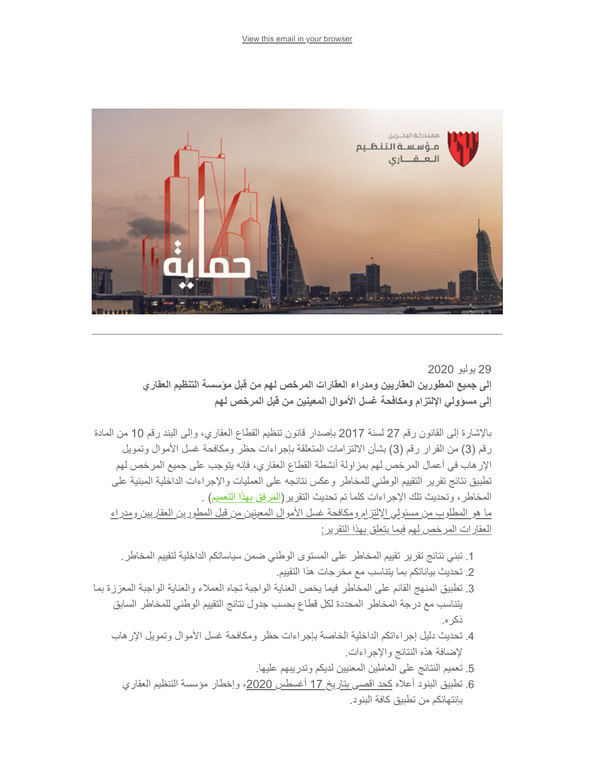

29 یولیو 2020 **إلى جمیع المطورین العقاریین ومدراء العقارات المرخص لھم من قبل مؤسسة التنظیم العقاري إلى مسؤولي الإلتزام ومكافحة غسل الأموال المعینین من قبل المرخص لھم** 

بالإشارة إلى القانون رقم 27 لسنة 2017 بإصدار قانون تنظیم القطاع العقاري، وإلى البند رقم 10 من المادة رقم (3) من القرار رقم (3) بشأن الالتزامات المتعلقة بإجراءات حظر ومكافحة غسل الأموال وتمویل الإرھاب في أعمال المرخص لھم بمزاولة أنشطة القطاع العقاري، فإنھ یتوجب على جمیع المرخص لھم تطبیق نتائج تقریر التقییم الوطني للمخاطر وعكس نتائجھ على العملیات والإجراءات الداخلیة المبنیة على المخاطر، وتحدیث تلك الإجراءات كلما تم تحدیث التقریر([المرفق بھذا التعمیم](https://www.rera.gov.bh/Media/downloads/mailchimp/National%20Risk%20Assessment-RERA-290720-%20developers-PM.pdf)) . ما ھو المطلوب من مسئولي الإلتزام ومكافحة غسل الأموال المعینین من قبل المطورین العقاریین ومدراء العقارات المرخص لھم فیما یتعلق بھذا التقریر:

- .1 تبني نتائج تقریر تقییم المخاطر على المستوى الوطني ضمن سیاساتكم الداخلیة لتقییم المخاطر.
	- .2 تحدیث بیاناتكم بما یتناسب مع مخرجات ھذا التقییم.
- .3 تطبیق المنھج القائم على المخاطر فیما یخص العنایة الواجبة تجاه العملاء والعنایة الواجبة المعززة بما یتناسب مع درجة المخاطر المحددة لكل قطاع بحسب جدول نتائج التقییم الوطني للمخاطر السابق ذكره.
	- .4 تحدیث دلیل إجراءاتكم الداخلیة الخاصة بإجراءات حظر ومكافحة غسل الأموال وتمویل الإرھاب لإضافة ھذه النتائج والإجراءات.
		- .5 تعمیم النتائج على العاملین المعنیین لدیكم وتدریبھم علیھا.
		- 6. تطبيق البنود أعلاه <u>كحد اقصى بتار</u>يخ 17 أغسطس <u>2020</u>، وإخطار مؤسسة التنظيم العقاري بإنتھائكم من تطبیق كافة البنود.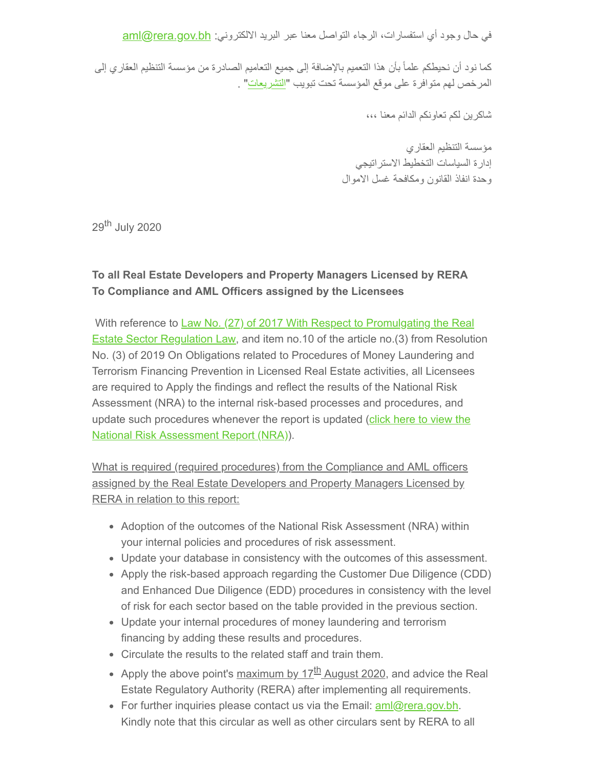في حال وجود أي استفسارات، الرجاء التواصل معنا عبر البريد الالكتروني: <u>aml@rera.gov.bh</u>

كما نود أن نحیطكم علماً بأن ھذا التعمیم بالإضافة إلى جمیع التعامیم الصادرة من مؤسسة التنظیم العقاري إلى المرخص لھم متوافرة على موقع المؤسسة تحت تبویب ["التشریعات](https://rera.us18.list-manage.com/track/click?u=19ee4dd5d83746dcf3a98ff0f&id=cebac5d586&e=634a2e9629)" .

شاكرین لكم تعاونكم الدائم معنا ،،،

مؤسسة التنظیم العقاري إدارة السیاسات التخطیط الاستراتیجي وحدة انفاذ القانون ومكافحة غسل الاموال

29<sup>th</sup> July 2020

## **To all Real Estate Developers and Property Managers Licensed by RERA To Compliance and AML Officers assigned by the Licensees**

With reference to Law No. (27) of 2017 With Respect to Promulgating the Real [Estate Sector Regulation Law, and item no.10 of the article no.\(3\) from Resoluti](https://www.rera.gov.bh/Media/downloads/laws/LAW_L27_(2017)_Real_Estate_Regulation.pdf)on No. (3) of 2019 On Obligations related to Procedures of Money Laundering and Terrorism Financing Prevention in Licensed Real Estate activities, all Licensees are required to Apply the findings and reflect the results of the National Risk Assessment (NRA) to the internal risk-based processes and procedures, and [update such procedures whenever the report is updated \(click here to view the](https://www.rera.gov.bh/Media/downloads/mailchimp/National%20Risk%20Assessment-RERA-290720-%20developers-PM.pdf) National Risk Assessment Report (NRA)).

What is required (required procedures) from the Compliance and AML officers assigned by the Real Estate Developers and Property Managers Licensed by RERA in relation to this report:

- Adoption of the outcomes of the National Risk Assessment (NRA) within your internal policies and procedures of risk assessment.
- Update your database in consistency with the outcomes of this assessment.
- Apply the risk-based approach regarding the Customer Due Diligence (CDD) and Enhanced Due Diligence (EDD) procedures in consistency with the level of risk for each sector based on the table provided in the previous section.
- Update your internal procedures of money laundering and terrorism financing by adding these results and procedures.
- Circulate the results to the related staff and train them.
- Apply the above point's maximum by 17<sup>th</sup> August 2020, and advice the Real Estate Regulatory Authority (RERA) after implementing all requirements.
- For further inquiries please contact us via the Email:  $\frac{am|Q|}{cm}$  era.gov.bh. Kindly note that this circular as well as other circulars sent by RERA to all